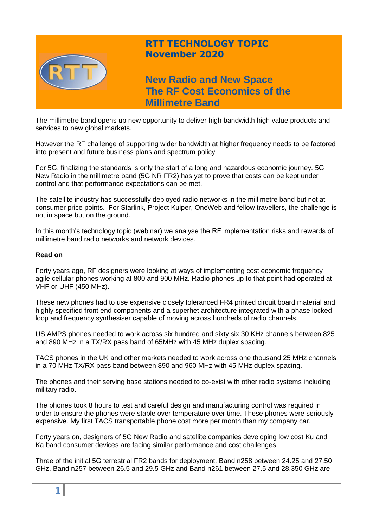

The millimetre band opens up new opportunity to deliver high bandwidth high value products and services to new global markets.

However the RF challenge of supporting wider bandwidth at higher frequency needs to be factored into present and future business plans and spectrum policy.

For 5G, finalizing the standards is only the start of a long and hazardous economic journey. 5G New Radio in the millimetre band (5G NR FR2) has yet to prove that costs can be kept under control and that performance expectations can be met.

The satellite industry has successfully deployed radio networks in the millimetre band but not at consumer price points. For Starlink, Project Kuiper, OneWeb and fellow travellers, the challenge is not in space but on the ground.

In this month's technology topic (webinar) we analyse the RF implementation risks and rewards of millimetre band radio networks and network devices.

### **Read on**

Forty years ago, RF designers were looking at ways of implementing cost economic frequency agile cellular phones working at 800 and 900 MHz. Radio phones up to that point had operated at VHF or UHF (450 MHz).

These new phones had to use expensive closely toleranced FR4 printed circuit board material and highly specified front end components and a superhet architecture integrated with a phase locked loop and frequency synthesiser capable of moving across hundreds of radio channels.

US AMPS phones needed to work across six hundred and sixty six 30 KHz channels between 825 and 890 MHz in a TX/RX pass band of 65MHz with 45 MHz duplex spacing.

TACS phones in the UK and other markets needed to work across one thousand 25 MHz channels in a 70 MHz TX/RX pass band between 890 and 960 MHz with 45 MHz duplex spacing.

The phones and their serving base stations needed to co-exist with other radio systems including military radio.

The phones took 8 hours to test and careful design and manufacturing control was required in order to ensure the phones were stable over temperature over time. These phones were seriously expensive. My first TACS transportable phone cost more per month than my company car.

Forty years on, designers of 5G New Radio and satellite companies developing low cost Ku and Ka band consumer devices are facing similar performance and cost challenges.

Three of the initial 5G terrestrial FR2 bands for deployment, Band n258 between 24.25 and 27.50 GHz, Band n257 between 26.5 and 29.5 GHz and Band n261 between 27.5 and 28.350 GHz are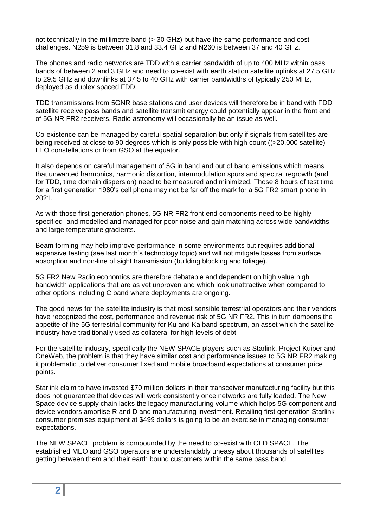not technically in the millimetre band (> 30 GHz) but have the same performance and cost challenges. N259 is between 31.8 and 33.4 GHz and N260 is between 37 and 40 GHz.

The phones and radio networks are TDD with a carrier bandwidth of up to 400 MHz within pass bands of between 2 and 3 GHz and need to co-exist with earth station satellite uplinks at 27.5 GHz to 29.5 GHz and downlinks at 37.5 to 40 GHz with carrier bandwidths of typically 250 MHz, deployed as duplex spaced FDD.

TDD transmissions from 5GNR base stations and user devices will therefore be in band with FDD satellite receive pass bands and satellite transmit energy could potentially appear in the front end of 5G NR FR2 receivers. Radio astronomy will occasionally be an issue as well.

Co-existence can be managed by careful spatial separation but only if signals from satellites are being received at close to 90 degrees which is only possible with high count ((>20,000 satellite) LEO constellations or from GSO at the equator.

It also depends on careful management of 5G in band and out of band emissions which means that unwanted harmonics, harmonic distortion, intermodulation spurs and spectral regrowth (and for TDD, time domain dispersion) need to be measured and minimized. Those 8 hours of test time for a first generation 1980's cell phone may not be far off the mark for a 5G FR2 smart phone in 2021.

As with those first generation phones, 5G NR FR2 front end components need to be highly specified and modelled and managed for poor noise and gain matching across wide bandwidths and large temperature gradients.

Beam forming may help improve performance in some environments but requires additional expensive testing (see last month's technology topic) and will not mitigate losses from surface absorption and non-line of sight transmission (building blocking and foliage).

5G FR2 New Radio economics are therefore debatable and dependent on high value high bandwidth applications that are as yet unproven and which look unattractive when compared to other options including C band where deployments are ongoing.

The good news for the satellite industry is that most sensible terrestrial operators and their vendors have recognized the cost, performance and revenue risk of 5G NR FR2. This in turn dampens the appetite of the 5G terrestrial community for Ku and Ka band spectrum, an asset which the satellite industry have traditionally used as collateral for high levels of debt

For the satellite industry, specifically the NEW SPACE players such as Starlink, Project Kuiper and OneWeb, the problem is that they have similar cost and performance issues to 5G NR FR2 making it problematic to deliver consumer fixed and mobile broadband expectations at consumer price points.

Starlink claim to have invested \$70 million dollars in their transceiver manufacturing facility but this does not guarantee that devices will work consistently once networks are fully loaded. The New Space device supply chain lacks the legacy manufacturing volume which helps 5G component and device vendors amortise R and D and manufacturing investment. Retailing first generation Starlink consumer premises equipment at \$499 dollars is going to be an exercise in managing consumer expectations.

The NEW SPACE problem is compounded by the need to co-exist with OLD SPACE. The established MEO and GSO operators are understandably uneasy about thousands of satellites getting between them and their earth bound customers within the same pass band.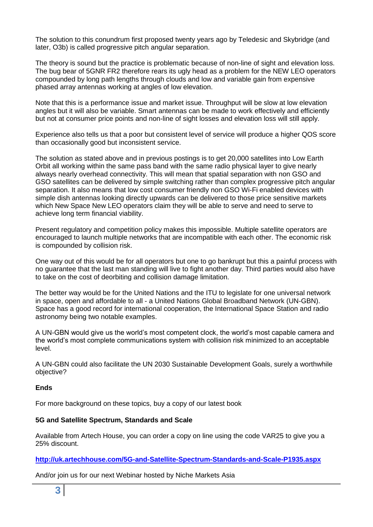The solution to this conundrum first proposed twenty years ago by Teledesic and Skybridge (and later, O3b) is called progressive pitch angular separation.

The theory is sound but the practice is problematic because of non-line of sight and elevation loss. The bug bear of 5GNR FR2 therefore rears its ugly head as a problem for the NEW LEO operators compounded by long path lengths through clouds and low and variable gain from expensive phased array antennas working at angles of low elevation.

Note that this is a performance issue and market issue. Throughput will be slow at low elevation angles but it will also be variable. Smart antennas can be made to work effectively and efficiently but not at consumer price points and non-line of sight losses and elevation loss will still apply.

Experience also tells us that a poor but consistent level of service will produce a higher QOS score than occasionally good but inconsistent service.

The solution as stated above and in previous postings is to get 20,000 satellites into Low Earth Orbit all working within the same pass band with the same radio physical layer to give nearly always nearly overhead connectivity. This will mean that spatial separation with non GSO and GSO satellites can be delivered by simple switching rather than complex progressive pitch angular separation. It also means that low cost consumer friendly non GSO Wi-Fi enabled devices with simple dish antennas looking directly upwards can be delivered to those price sensitive markets which New Space New LEO operators claim they will be able to serve and need to serve to achieve long term financial viability.

Present regulatory and competition policy makes this impossible. Multiple satellite operators are encouraged to launch multiple networks that are incompatible with each other. The economic risk is compounded by collision risk.

One way out of this would be for all operators but one to go bankrupt but this a painful process with no guarantee that the last man standing will live to fight another day. Third parties would also have to take on the cost of deorbiting and collision damage limitation.

The better way would be for the United Nations and the ITU to legislate for one universal network in space, open and affordable to all - a United Nations Global Broadband Network (UN-GBN). Space has a good record for international cooperation, the International Space Station and radio astronomy being two notable examples.

A UN-GBN would give us the world's most competent clock, the world's most capable camera and the world's most complete communications system with collision risk minimized to an acceptable level.

A UN-GBN could also facilitate the UN 2030 Sustainable Development Goals, surely a worthwhile objective?

# **Ends**

For more background on these topics, buy a copy of our latest book

# **5G and Satellite Spectrum, Standards and Scale**

Available from Artech House, you can order a copy on line using the code VAR25 to give you a 25% discount.

**<http://uk.artechhouse.com/5G-and-Satellite-Spectrum-Standards-and-Scale-P1935.aspx>**

And/or join us for our next Webinar hosted by Niche Markets Asia